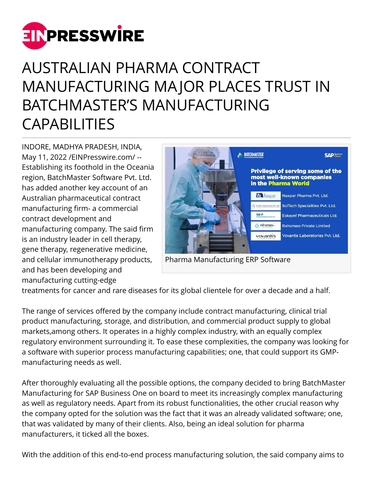

## AUSTRALIAN PHARMA CONTRACT MANUFACTURING MAJOR PLACES TRUST IN BATCHMASTER'S MANUFACTURING CAPABILITIES

INDORE, MADHYA PRADESH, INDIA, May 11, 2022 [/EINPresswire.com](http://www.einpresswire.com)/ -- Establishing its foothold in the Oceania region, BatchMaster Software Pvt. Ltd. has added another key account of an Australian pharmaceutical contract manufacturing firm- a commercial contract development and manufacturing company. The said firm is an industry leader in cell therapy, gene therapy, regenerative medicine, and cellular immunotherapy products, and has been developing and manufacturing cutting-edge



Pharma Manufacturing ERP Software

treatments for cancer and rare diseases for its global clientele for over a decade and a half.

The range of services offered by the company include contract manufacturing, clinical trial product manufacturing, storage, and distribution, and commercial product supply to global markets,among others. It operates in a highly complex industry, with an equally complex regulatory environment surrounding it. To ease these complexities, the company was looking for a software with superior process manufacturing capabilities; one, that could support its GMPmanufacturing needs as well.

After thoroughly evaluating all the possible options, the company decided to bring BatchMaster Manufacturing for SAP Business One on board to meet its increasingly complex manufacturing as well as regulatory needs. Apart from its robust functionalities, the other crucial reason why the company opted for the solution was the fact that it was an already validated software; one, that was validated by many of their clients. Also, being an ideal solution for pharma manufacturers, it ticked all the boxes.

With the addition of this end-to-end process manufacturing solution, the said company aims to